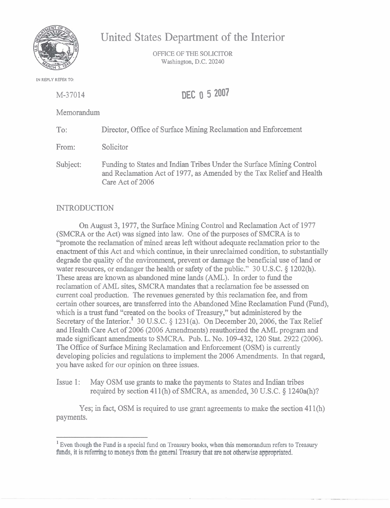

United States Department of the Interior

OFFICE OF THE SOLICITOR Washington, D.C. 20240

**IN REPLY REFER TO:** 

| M-37014    | DEC 0 5 2007                                                                                                                                 |
|------------|----------------------------------------------------------------------------------------------------------------------------------------------|
| Memorandum |                                                                                                                                              |
| To:        | Director, Office of Surface Mining Reclamation and Enforcement                                                                               |
| From:      | Solicitor                                                                                                                                    |
| Subject:   | Funding to States and Indian Tribes Under the Surface Mining Control<br>and Reclamation Act of 1977, as Amended by the Tax Relief and Health |

## **INTRODUCTION**

Care Act of 2006

On August 3,1977, the Surface Mining Control and Reclamation Act of 1977 (SMCRA or the Act) was signed into law. One of the purposes of SMCRA is to "promote the reclamation of mined areas left without adequate reclamation prior to the enactment of this Act and which continue, in their unreclaimed condition, to substantially degrade the quality of the environment, prevent or damage the beneficial use of land or water resources, or endanger the health or safety of the public." 30 U.S.C. § 1202(h). These areas are known as abandoned mine lands (AML). In order to fund the reclamation of **AML** sites, SMCRA mandates that a reclamation fee be assessed on current coal production. The revenues generated by this reclamation fee, and from certain other sources, are transferred into the Abandoned Mine Reclamation Fund (Fund), which is a trust fund "created on the books of Treasury," but administered by the Secretary of the Interior.<sup>1</sup> 30 U.S.C.  $\S$  1231(a). On December 20, 2006, the Tax Relief and Health Care Act of 2006 (2006 Amendments) reauthorized the **AML** program and made significant amendments to SMCRA. Pub. L. No. 109-432, 120 Stat. 2922 (2006). The Office of Surface Mining Reclamation and Enforcement (OSM) is currently developing policies and regulations to implement the 2006 Amendments. In that regard, you have asked for our opinion on three issues.

Issue 1: May OSM use grants to make the payments to States and Indian tribes required by section 41 1 (h) of SMCRA, as amended, 30 U.S.C. **5** 1240a(h)?

Yes; in fact, OSM is required to use grant agreements to make the section  $411(h)$ payments.

Even though **the Fund** is **a special** fund on Treasury **books, when** this memorandum refers to Treasury funds, it is referring to moneys from the general Treasury that are not otherwise appropriated.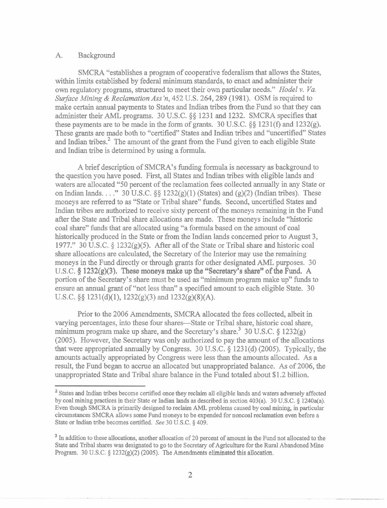## **A.** Background

SMCRA "establishes a program of cooperative federalism that allows the States, within limits established by federal minimum standards, to enact and administer their own regulatory programs, structured to meet their own particular needs." *Hodel* v. *Va. Surface* Mining & *Reclamation* Ass'n, 452 U.S. 264,289 (1981). OSM is required to make certain annual payments to States and Indian tribes fiom the Fund so that they can administer their **AML** programs. 30 U.S.C. *\$5* 123 1 and 1232. SMCRA specifies that these payments are to be made in the form of grants. 30 U.S.C. *\$5* 123 1(f) and 1232(g). These grants are made both to "certified" States and Indian tribes and "uncertified" States and Indian tribes. $<sup>2</sup>$  The amount of the grant from the Fund given to each eligible State</sup> and Indian tribe is determined by using a formula.

A brief description of SMCRA's funding formula is necessary as background to the question you have posed. First, all States and Indian tribes with eligible lands and waters are allocated "50 percent of the reclamation fees collected annually in any State or on Indian lands. . . ." 30 U.S.C. *55* 1232(g)(1) (States) and (g)(2) (Indian tribes). These moneys are referred to as "State or Tribal share" funds. Second, uncertified States and Indian tribes are authorized to receive sixty percent of the moneys remaining in the Fund after the State and Tribal share allocations are made. These moneys include "historic coal share" funds that are allocated using "a formula based on the amount of coal historically produced in the State or fiom the Indian lands concerned prior to August 3, 1977." 30 U.S.C. *5* 1232(g)(5). After all of the State or Tribal share and historic coal share allocations are calculated, the Secretary of the Interior may use the remaining moneys in the Fund directly or through grants for other designated **AML** purposes. 30 U.S.C. § 1232(g)(3). These moneys make up the "Secretary's share" of the Fund. A portion of the Secretary's share must be used as "minimum program make up" funds to ensure an annual grant of "not less than" a specified amount to each eligible State. 30 U.S.C.  $\S\S 1231(d)(1)$ ,  $1232(g)(3)$  and  $1232(g)(8)(A)$ .

Prior to the 2006 Amendments, SMCRA allocated the fees collected, albeit in varying percentages, into these four shares-State or Tribal share, historic coal share, minimum program make up share, and the Secretary's share.<sup>3</sup> 30 U.S.C.  $\S$  1232(g) (2005). However, the Secretary was only authorized to pay the amount of the allocations that were appropriated annually by Congress. 30 U.S.C. *5* 1231(d) (2005). Typically, the amounts actually appropriated by Congress were less than the amounts allocated. As a result, the Fund began to accrue an allocated but unappropriated balance. **As** of 2006, the unappropriated State and Tribal share balance in the Fund totaled about \$1.2 billion.

**<sup>2</sup>States and Indian tribes become certified once they reclaim all eligible lands and waters adversely affected by coal mining practices in their State or Indian lands as described in section 403(a). 30 U.S.C.** *5* **1240a(a). Even though SMCRA is primarily designed to reclaim AML problems caused by coal mining, in particular circumstances SMCRA allows some Fund moneys to be expended for noncoal reclamation even before a State or Indian tribe becomes certified.** *See* **30 U.S.C.** *5* **409.** 

<sup>&</sup>lt;sup>3</sup> In addition to these allocations, another allocation of 20 percent of amount in the Fund not allocated to the **State and Tribal shares was designated to go to the Secretary of Agriculture for the Rural Abandoned Mine Program. 30 U.S.C.** *5* **1232(g)(2) (2005). The Amendments eliminated this** allocation.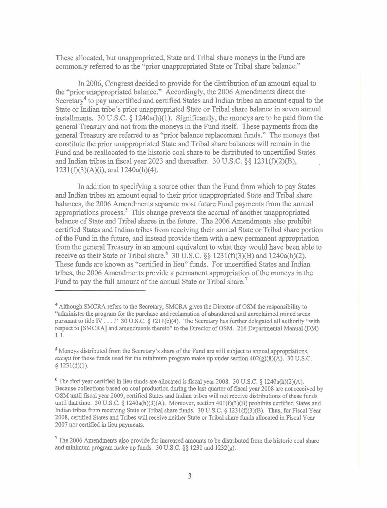These allocated, but unappropriated, State and Tribal share moneys in the Fund are commonly referred to as the "prior unappropriated State or Tribal share balance."

In 2006, Congress decided to provide for the distribution of an amount equal to the "prior unappropriated balance." Accordingly, the 2006 Amendments direct the Secretary<sup>4</sup> to pay uncertified and certified States and Indian tribes an amount equal to the State or Indian tribe's prior unappropriated State or Tribal share balance in seven annual installments. 30 U.S.C. *5* 1240a(h)(l). Significantly, the moneys are to be paid from the general Treasury and not from the moneys in the Fund itself. These payments from the general Treasury are referred to as "prior balance replacement funds." The moneys that constitute the prior unappropriated State and Tribal share balances will remain in the Fund and be reallocated to the historic coal share to be distributed to uncertified States and Indian tribes in fiscal year 2023 and thereafter. 30 U.S.C. *\$5* 1231(f)(2)@),  $1231(f)(3)(A)(i)$ , and  $1240a(h)(4)$ .

In addition to specifying a source other than the Fund from which to pay States and Indian tribes an amount equal to their prior unappropriated State and Tribal share balances, the 2006 Amendments separate most future Fund payments from the annual appropriations process.5 This change prevents the accrual of another unappropriated balance of State and Tribal shares in the future. The 2006 Amendments also prohibit certified States and Indian tribes from receiving their annual State or Tribal share portion of the Fund in the future, and instead provide them with a new permanent appropriation from the general Treasury in an amount equivalent to what they would have been able to receive as their State or Tribal share.<sup>6</sup> 30 U.S.C.  $\S$  1231(f)(3)(B) and 1240a(h)(2). These funds are known as "certified in lieu" funds. For uncertified States and Indian tribes, the 2006 Amendments provide a permanent appropriation of the moneys in the Fund to pay the full amount of the annual State or Tribal share.<sup>7</sup>

Although SMCRA refers to the Secretary, SMCRA gives the Director of OSM the responsibility to "administer the program for the purchase and reclamation of abandoned and unreclaimed mined areas pursuant to title **IV** . . . ." 30 U.S.C. § 1211(c)(4). The Secretary has further delegated all authority "with respect to [SMCRA] and amendments thereto" to the Director of OSM. 216 Departmental Manual **(DM)**  1.1.

Moneys distributed from the Secretary's share of the Fund are still subject to annual appropriations, except for those **funds** used for the **minimum** program make up under section 402(g)(8)(A). 30 U.S.C.  $§ 1231(d)(1).$ 

<sup>&</sup>lt;sup>6</sup> The first year certified in lieu funds are allocated is fiscal year 2008. 30 U.S.C.  $\S$  1240a(h)(2)(A). Because collections based on coal production during the last quarter of fiscal year 2008 are not received by OSM until fiscal year 2009, certified States and Indian tribes will not receive distributions of these funds until that time. 30 U.S.C.  $\S$  1240a(h)(3)(A). Moreover, section 401(f)(3)(B) prohibits certified States and Indian tribes from receiving State or Tribal share funds. 30 U.S.C. *5* 123 l(f)(3)(B). Thus, for Fiscal Year 2008, certified States and Tribes will receive neither State or Tribal share funds allocated in Fiscal Year 2007 nor certified in lieu payments.

**<sup>7</sup>**The 2006 Amendments also provide for increased amounts to be distributed from the historic coal share and minimum program make up funds. 30 U.S.C. *\$5* 123 1 and 1232(g).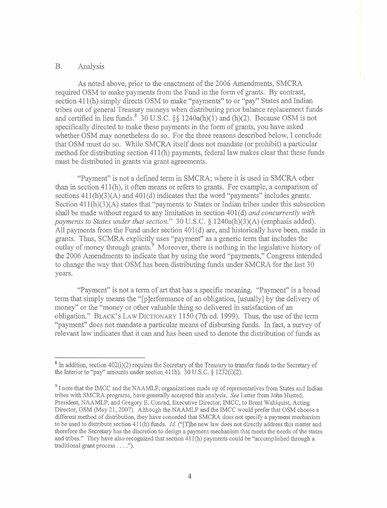## B. Analysis

**As** noted above, prior to the enactment of the 2006 Amendments, SMCRA required OSM to make payments from the Fund in the form of grants. By contrast, section 411(h) simply directs OSM to make "payments" to or "pay" States and Indian tribes out of general Treasury moneys when distributing prior balance replacement funds and certified in lieu funds.<sup>8</sup> 30 U.S.C. §§ 1240a(h)(1) and (h)(2). Because OSM is not specifically directed to make these payments in the form of grants, you have asked whether OSM may nonetheless do so. For the three reasons described below, I conclude that OSM must do so. While SMCRA itself does not mandate (or prohibit) a particular method for distributing section  $411(h)$  payments, federal law makes clear that these funds must be distributed in grants via grant agreements.

"Payment" is not a defined term in SMCRA; where it is used in SMCRA other than in section  $411(h)$ , it often means or refers to grants. For example, a comparison of sections  $411(h)(3)(A)$  and  $401(d)$  indicates that the word "payments" includes grants. Section  $411(h)(3)(A)$  states that "payments to States or Indian tribes under this subsection shall be made without regard to any limitation in section 401(d) *and concurrently with payments to States under that section.*" 30 U.S.C.  $\S$  1240a(h)(3)(A) (emphasis added). All payments from the Fund under section 401(d) are, and historically have been, made in grants. Thus, SCMRA explicitly uses "payment" as a generic term that includes the outlay of money through grants.<sup>9</sup> Moreover, there is nothing in the legislative history of the 2006 Amendments to indicate that by using the word "payments," Congress intended to change the way that OSM has been distributing funds under SMCRA for the last 30 years.

"Payment" is not a term of **art** that has a specific meaning. "Payment" is a broad term that simply means the "[p]erforrnance of **an** obligation, [usually] by the delivery of money" or the "money or other valuable thing so delivered in satisfaction of an obligation." BLACK'S LAW DICTIONARY 1 150 (7th ed. 1999). Thus, the use of the term "payment" does not mandate a particular means of disbursing funds. In fact, a survey of relevant law indicates that it can and has been used to denote the distribution of funds as

 $8$  In addition, section 402(i)(2) requires the Secretary of the Treasury to transfer funds to the Secretary of the Interior to "pay" amounts under section 411h).  $30 \text{ U.S.C.}$  § 1232(i)(2).

**<sup>9</sup>**I note that the IMCC and the NAAMLP, organizations made up of representatives from States and Indian tribes with SMCRA programs, have generally accepted this analysis. See Letter from John Husted, President, NAAMLP, and Gregory E. Conrad, Executive Director, IMCC, to Brent Wahlquist, Acting Director, OSM (May 21, 2007). Although the NAAMLP and the IMCC would prefer that OSM choose a different method of distribution, they have conceded that SMCRA does not specify a payment mechanism to be used to distribute section 411(h) funds. Id. ("[T]he new law does not directly address this matter and therefore the Secretary has the discretion to design a payment mechanism that meets the needs of the states and tribes." They have also recognized that section 41 1(h) payments could be "accomplished through a traditional grant process . . . .").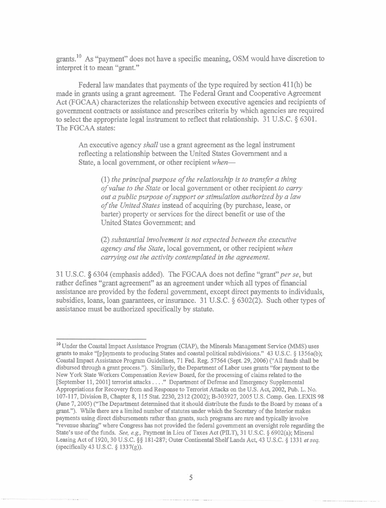grants.<sup>10</sup> As "payment" does not have a specific meaning, OSM would have discretion to interpret it to mean "grant."

Federal law mandates that payments of the type required by section 41 l(h) be made in grants using a grant agreement. The Federal Grant and Cooperative Agreement Act (FGCAA) characterizes the relationship between executive agencies and recipients of government contracts or assistance and prescribes criteria by which agencies are required to select the appropriate legal instrument to reflect that relationship. 31 U.S.C. *5* 6301. The FGCAA states:

An executive agency *shall* use a grant agreement as the legal instrument reflecting a relationship between the United States Government and a State, a local government, or other recipient *when*—

(1) *the principal purpose of the relationship is to transfer a thing of value to the State* or local government or other recipient *to carry out a public purpose of support or stimulation authorized by a law of the United States* instead of acquiring (by purchase, lease, or barter) property or services for the direct benefit or use of the United States Government; and

*(2) substantial involvement* **is** *not expected between the executive agency and the State,* local government, or other recipient *when carrying out the activity contemplated in the agreement.* 

3 1 U.S.C. 6304 (emphasis added). The FGCAA does not define **"grant"** *per se,* but rather defines "grant agreement" as an agreement under which all types of financial assistance are provided by the federal government, except direct payments to individuals, subsidies, loans, loan guarantees, or insurance. 31 U.S.C. § 6302(2). Such other types of assistance must be authorized specifically by statute.

<sup>&</sup>lt;sup>10</sup> Under the Coastal Impact Assistance Program (CIAP), the Minerals Management Service (MMS) uses grants to make "[playments to producing States and coastal political subdivisions." 43 U.S.C. \$ 1356a(b); Coastal Impact Assistance Program Guidelines, 71 Fed. Reg. 57564 (Sept. 29,2006) ("All **funds** shall be disbursed through a grant process."). Similarly, the Department of Labor uses grants "for payment to the New York State Workers Compensation Review Board, for the processing of claims related to the [September 11,20011 terrorist attacks . . . ." Department of Defense and Emergency Supplemental Appropriations for Recovery from and Response to Terrorist Attacks on the U.S. Act, 2002, Pub. L. No. 107-1 17, Division B, Chapter 8, 115 Stat. 2230,2312 (2002); B-303927,2005 U.S. Comp. Gen. LEXIS 98 (June 7,2005) ("The Department determined that it should distribute the **funds** to the Board by means of a grant."). While there are a limited number of statutes under which the Secretary of the Interior makes payments using direct disbursements rather than grants, such programs are rare and typically involve "revenue sharing" where Congress has not provided the federal government an oversight role regarding the State's use of the funds. *See, e.g.*, Payment in Lieu of Taxes Act (PILT), 31 U.S.C. § 6902(a); Mineral Leasing Act of 1920,30 U.S.C. \$\$ 181-287; Outer Continental Shelf **Lands** Act, 43 U.S.C. \$ 1331 *et seq.*  (specifically 43 U.S.C.  $\S$  1337(g)).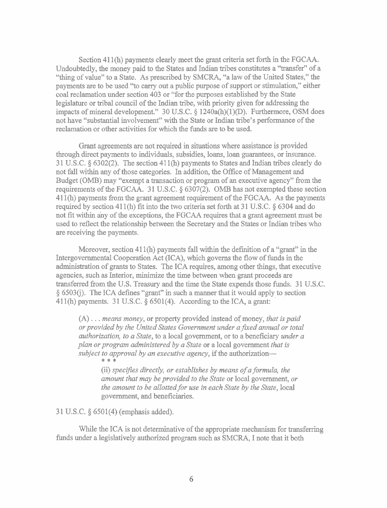Section 41 1(h) payments clearly meet the grant criteria set forth in the FGCAA. Undoubtedly, the money paid to the States and Indian tribes constitutes a "transfer" of a "thing of value" to a State. As prescribed by SMCRA, "a law of the United States," the payments are to be used "to carry out a public purpose of support or stimulation," either coal reclamation under section 403 or "for the purposes established by the State legislature or tribal council of the Indian tribe, with priority given for addressing the impacts of mineral development." 30 U.S.C. *5* 1240a(h)(l)(D). Furthermore, OSM does not have "substantial involvement" with the State or Indian tribe's performance of the reclamation or other activities for which the funds are to be used.

Grant agreements are not required in situations where assistance is provided through direct payments to individuals, subsidies, loans, loan guarantees, or insurance. 3 1 U.S.C. *5* 6302(2). The section 41 1(h) payments to States and Indian tribes clearly do not fall within any of those categories. In addition, the Office of Management and Budget (OMB) may "exempt a transaction or program of an executive agency" fiom the requirements of the FGCAA. 31 U.S.C. § 6307(2). OMB has not exempted these section 411(h) payments from the grant agreement requirement of the FGCAA. As the payments required by section 411(h) fit into the two criteria set forth at 31 U.S.C.  $\S$  6304 and do not fit within any of the exceptions, the FGCAA requires that a grant agreement must be used to reflect the relationship between the Secretary and the States or Indian tribes who are receiving the payments.

Moreover, section  $411(h)$  payments fall within the definition of a "grant" in the Intergovernmental Cooperation Act (ICA), which governs the flow of funds in the administration of **grants** to States. The ICA requires, among other things, that executive agencies, such as Interior, minimize the time between when grant proceeds are transferred from the U.S. Treasury and the time the State expends those funds. 3 1 U.S.C.  $\S$  6503(i). The ICA defines "grant" in such a manner that it would apply to section 411(h) payments. 31 U.S.C.  $\S$  6501(4). According to the ICA, a grant:

(A) . . . *means money,* or property provided instead of money, *that is paid or provided by the United States Government under a fuced annual or total authorization, to a State,* to a local government, or to a beneficiary *under a plan or program administered by a State* or a local government *that is subject to approval by an executive agency,* if the authorization-<br>\* \* \*

> (ii) *specifies directly, or establishes by means of a formula, the amount that may be provided to the State* or local government, *or the amount to be allotted for use in each State by the State,* local government, and beneficiaries.

31 U.S.C. § 6501(4) (emphasis added).

While the ICA is not determinative of the appropriate mechanism for transferring funds under a legislatively authorized program such as SMCRA, I note that it both